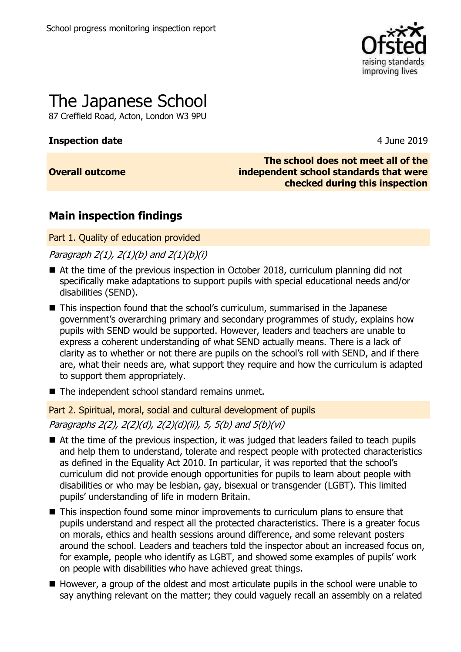

# The Japanese School

87 Creffield Road, Acton, London W3 9PU

### **Inspection date** 4 June 2019

### **Overall outcome**

**The school does not meet all of the independent school standards that were checked during this inspection**

### **Main inspection findings**

Part 1. Quality of education provided

Paragraph  $2(1)$ ,  $2(1)(b)$  and  $2(1)(b)(i)$ 

- At the time of the previous inspection in October 2018, curriculum planning did not specifically make adaptations to support pupils with special educational needs and/or disabilities (SEND).
- This inspection found that the school's curriculum, summarised in the Japanese government's overarching primary and secondary programmes of study, explains how pupils with SEND would be supported. However, leaders and teachers are unable to express a coherent understanding of what SEND actually means. There is a lack of clarity as to whether or not there are pupils on the school's roll with SEND, and if there are, what their needs are, what support they require and how the curriculum is adapted to support them appropriately.
- The independent school standard remains unmet.

Part 2. Spiritual, moral, social and cultural development of pupils Paragraphs 2(2), 2(2)(d), 2(2)(d)(ii), 5, 5(b) and 5(b)(vi)

- At the time of the previous inspection, it was judged that leaders failed to teach pupils and help them to understand, tolerate and respect people with protected characteristics as defined in the Equality Act 2010. In particular, it was reported that the school's curriculum did not provide enough opportunities for pupils to learn about people with disabilities or who may be lesbian, gay, bisexual or transgender (LGBT). This limited pupils' understanding of life in modern Britain.
- This inspection found some minor improvements to curriculum plans to ensure that pupils understand and respect all the protected characteristics. There is a greater focus on morals, ethics and health sessions around difference, and some relevant posters around the school. Leaders and teachers told the inspector about an increased focus on, for example, people who identify as LGBT, and showed some examples of pupils' work on people with disabilities who have achieved great things.
- However, a group of the oldest and most articulate pupils in the school were unable to say anything relevant on the matter; they could vaguely recall an assembly on a related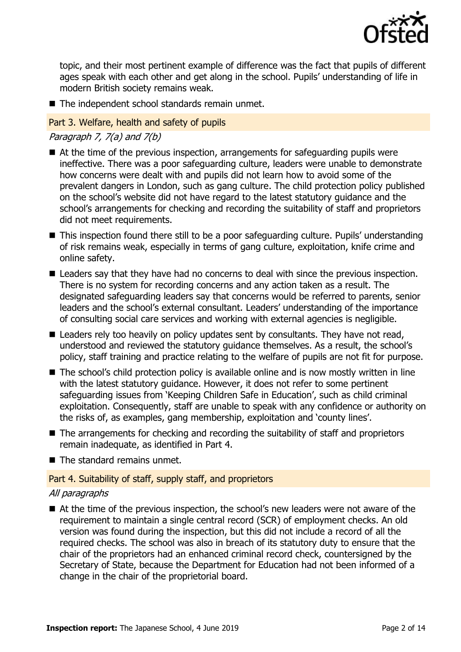

topic, and their most pertinent example of difference was the fact that pupils of different ages speak with each other and get along in the school. Pupils' understanding of life in modern British society remains weak.

■ The independent school standards remain unmet.

#### Part 3. Welfare, health and safety of pupils

Paragraph 7,  $7(a)$  and  $7(b)$ 

- At the time of the previous inspection, arrangements for safeguarding pupils were ineffective. There was a poor safeguarding culture, leaders were unable to demonstrate how concerns were dealt with and pupils did not learn how to avoid some of the prevalent dangers in London, such as gang culture. The child protection policy published on the school's website did not have regard to the latest statutory guidance and the school's arrangements for checking and recording the suitability of staff and proprietors did not meet requirements.
- This inspection found there still to be a poor safeguarding culture. Pupils' understanding of risk remains weak, especially in terms of gang culture, exploitation, knife crime and online safety.
- Leaders say that they have had no concerns to deal with since the previous inspection. There is no system for recording concerns and any action taken as a result. The designated safeguarding leaders say that concerns would be referred to parents, senior leaders and the school's external consultant. Leaders' understanding of the importance of consulting social care services and working with external agencies is negligible.
- Leaders rely too heavily on policy updates sent by consultants. They have not read, understood and reviewed the statutory guidance themselves. As a result, the school's policy, staff training and practice relating to the welfare of pupils are not fit for purpose.
- The school's child protection policy is available online and is now mostly written in line with the latest statutory quidance. However, it does not refer to some pertinent safeguarding issues from 'Keeping Children Safe in Education', such as child criminal exploitation. Consequently, staff are unable to speak with any confidence or authority on the risks of, as examples, gang membership, exploitation and 'county lines'.
- The arrangements for checking and recording the suitability of staff and proprietors remain inadequate, as identified in Part 4.
- The standard remains unmet.

### Part 4. Suitability of staff, supply staff, and proprietors

### All paragraphs

■ At the time of the previous inspection, the school's new leaders were not aware of the requirement to maintain a single central record (SCR) of employment checks. An old version was found during the inspection, but this did not include a record of all the required checks. The school was also in breach of its statutory duty to ensure that the chair of the proprietors had an enhanced criminal record check, countersigned by the Secretary of State, because the Department for Education had not been informed of a change in the chair of the proprietorial board.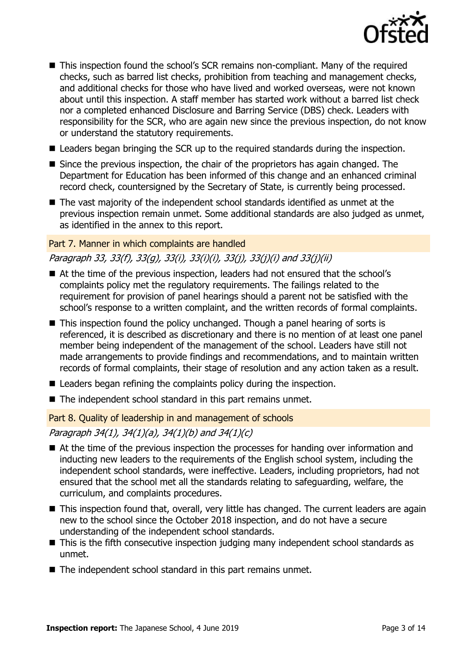

- This inspection found the school's SCR remains non-compliant. Many of the required checks, such as barred list checks, prohibition from teaching and management checks, and additional checks for those who have lived and worked overseas, were not known about until this inspection. A staff member has started work without a barred list check nor a completed enhanced Disclosure and Barring Service (DBS) check. Leaders with responsibility for the SCR, who are again new since the previous inspection, do not know or understand the statutory requirements.
- Leaders began bringing the SCR up to the required standards during the inspection.
- Since the previous inspection, the chair of the proprietors has again changed. The Department for Education has been informed of this change and an enhanced criminal record check, countersigned by the Secretary of State, is currently being processed.
- The vast majority of the independent school standards identified as unmet at the previous inspection remain unmet. Some additional standards are also judged as unmet, as identified in the annex to this report.

#### Part 7. Manner in which complaints are handled

### Paragraph 33, 33(f), 33(g), 33(i), 33(i)(i), 33(j), 33(j)(i) and 33(j)(ii)

- At the time of the previous inspection, leaders had not ensured that the school's complaints policy met the regulatory requirements. The failings related to the requirement for provision of panel hearings should a parent not be satisfied with the school's response to a written complaint, and the written records of formal complaints.
- This inspection found the policy unchanged. Though a panel hearing of sorts is referenced, it is described as discretionary and there is no mention of at least one panel member being independent of the management of the school. Leaders have still not made arrangements to provide findings and recommendations, and to maintain written records of formal complaints, their stage of resolution and any action taken as a result.
- Leaders began refining the complaints policy during the inspection.
- The independent school standard in this part remains unmet.

Part 8. Quality of leadership in and management of schools

Paragraph 34(1), 34(1)(a), 34(1)(b) and 34(1)(c)

- At the time of the previous inspection the processes for handing over information and inducting new leaders to the requirements of the English school system, including the independent school standards, were ineffective. Leaders, including proprietors, had not ensured that the school met all the standards relating to safeguarding, welfare, the curriculum, and complaints procedures.
- This inspection found that, overall, very little has changed. The current leaders are again new to the school since the October 2018 inspection, and do not have a secure understanding of the independent school standards.
- This is the fifth consecutive inspection judging many independent school standards as unmet.
- The independent school standard in this part remains unmet.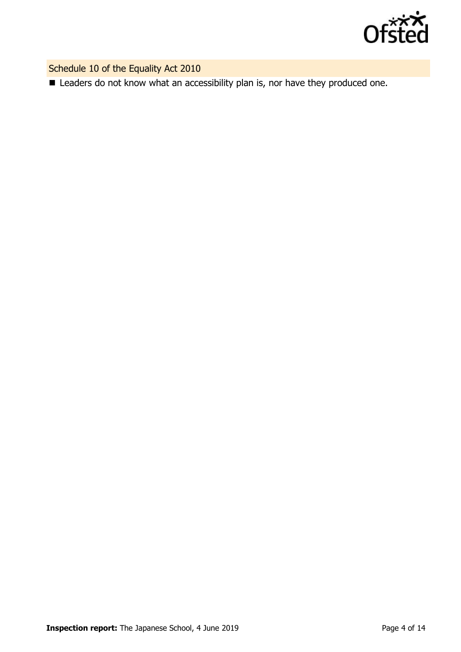

Schedule 10 of the Equality Act 2010

■ Leaders do not know what an accessibility plan is, nor have they produced one.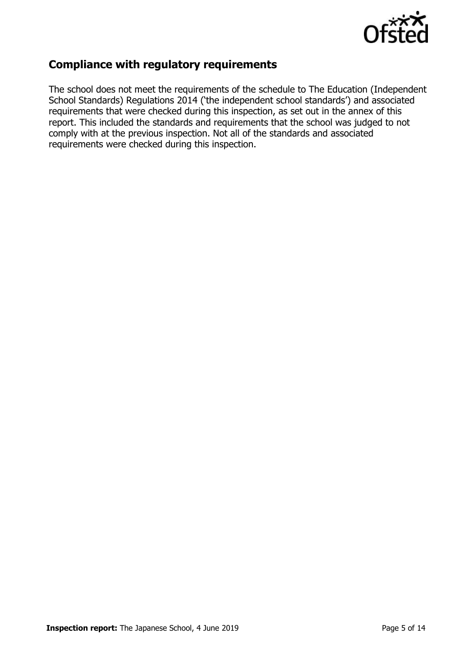

### **Compliance with regulatory requirements**

The school does not meet the requirements of the schedule to The Education (Independent School Standards) Regulations 2014 ('the independent school standards') and associated requirements that were checked during this inspection, as set out in the annex of this report. This included the standards and requirements that the school was judged to not comply with at the previous inspection. Not all of the standards and associated requirements were checked during this inspection.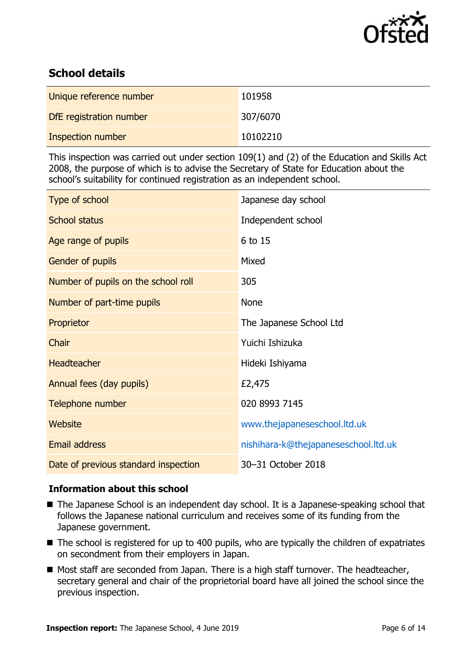

## **School details**

| Unique reference number | 101958   |
|-------------------------|----------|
| DfE registration number | 307/6070 |
| Inspection number       | 10102210 |

This inspection was carried out under section 109(1) and (2) of the Education and Skills Act 2008, the purpose of which is to advise the Secretary of State for Education about the school's suitability for continued registration as an independent school.

| Type of school                       | Japanese day school                  |
|--------------------------------------|--------------------------------------|
| <b>School status</b>                 | Independent school                   |
| Age range of pupils                  | 6 to 15                              |
| Gender of pupils                     | Mixed                                |
| Number of pupils on the school roll  | 305                                  |
| Number of part-time pupils           | <b>None</b>                          |
| Proprietor                           | The Japanese School Ltd              |
| Chair                                | Yuichi Ishizuka                      |
| <b>Headteacher</b>                   | Hideki Ishiyama                      |
| Annual fees (day pupils)             | £2,475                               |
| Telephone number                     | 020 8993 7145                        |
| <b>Website</b>                       | www.thejapaneseschool.ltd.uk         |
| <b>Email address</b>                 | nishihara-k@thejapaneseschool.ltd.uk |
| Date of previous standard inspection | 30-31 October 2018                   |

### **Information about this school**

- The Japanese School is an independent day school. It is a Japanese-speaking school that follows the Japanese national curriculum and receives some of its funding from the Japanese government.
- The school is registered for up to 400 pupils, who are typically the children of expatriates on secondment from their employers in Japan.
- Most staff are seconded from Japan. There is a high staff turnover. The headteacher, secretary general and chair of the proprietorial board have all joined the school since the previous inspection.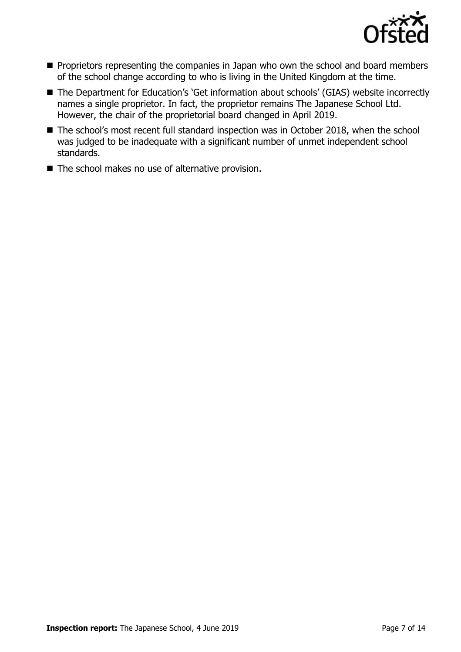

- Proprietors representing the companies in Japan who own the school and board members of the school change according to who is living in the United Kingdom at the time.
- The Department for Education's 'Get information about schools' (GIAS) website incorrectly names a single proprietor. In fact, the proprietor remains The Japanese School Ltd. However, the chair of the proprietorial board changed in April 2019.
- The school's most recent full standard inspection was in October 2018, when the school was judged to be inadequate with a significant number of unmet independent school standards.
- The school makes no use of alternative provision.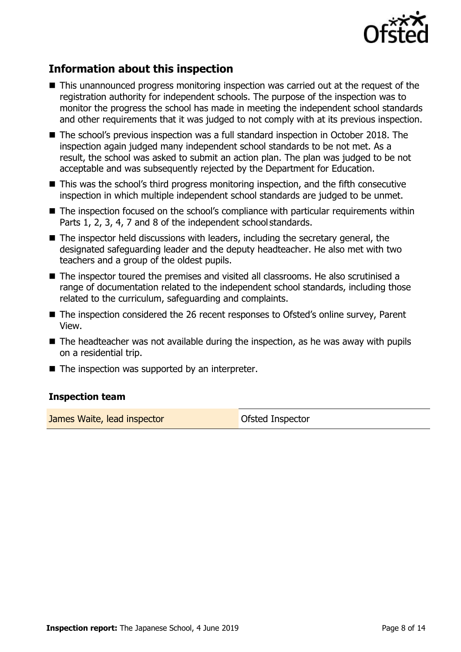

## **Information about this inspection**

- This unannounced progress monitoring inspection was carried out at the request of the registration authority for independent schools. The purpose of the inspection was to monitor the progress the school has made in meeting the independent school standards and other requirements that it was judged to not comply with at its previous inspection.
- The school's previous inspection was a full standard inspection in October 2018. The inspection again judged many independent school standards to be not met. As a result, the school was asked to submit an action plan. The plan was judged to be not acceptable and was subsequently rejected by the Department for Education.
- This was the school's third progress monitoring inspection, and the fifth consecutive inspection in which multiple independent school standards are judged to be unmet.
- The inspection focused on the school's compliance with particular requirements within Parts 1, 2, 3, 4, 7 and 8 of the independent school standards.
- $\blacksquare$  The inspector held discussions with leaders, including the secretary general, the designated safeguarding leader and the deputy headteacher. He also met with two teachers and a group of the oldest pupils.
- The inspector toured the premises and visited all classrooms. He also scrutinised a range of documentation related to the independent school standards, including those related to the curriculum, safeguarding and complaints.
- The inspection considered the 26 recent responses to Ofsted's online survey, Parent View.
- $\blacksquare$  The headteacher was not available during the inspection, as he was away with pupils on a residential trip.
- $\blacksquare$  The inspection was supported by an interpreter.

### **Inspection team**

**James Waite, lead inspector Constanting Constanting Constanting Constanting Constanting Constanting Constanting Constanting Constanting Constanting Constanting Constanting Constanting Constanting Constanting Constanting**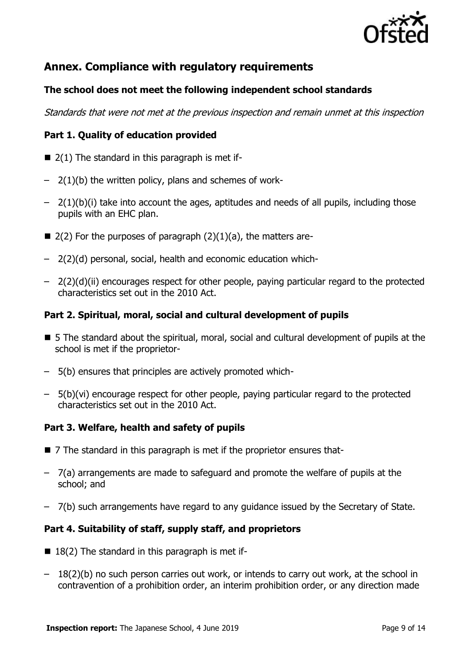

### **Annex. Compliance with regulatory requirements**

### **The school does not meet the following independent school standards**

Standards that were not met at the previous inspection and remain unmet at this inspection

### **Part 1. Quality of education provided**

- $\blacksquare$  2(1) The standard in this paragraph is met if-
- $-$  2(1)(b) the written policy, plans and schemes of work-
- $-$  2(1)(b)(i) take into account the ages, aptitudes and needs of all pupils, including those pupils with an EHC plan.
- $\blacksquare$  2(2) For the purposes of paragraph (2)(1)(a), the matters are-
- 2(2)(d) personal, social, health and economic education which-
- 2(2)(d)(ii) encourages respect for other people, paying particular regard to the protected characteristics set out in the 2010 Act.

### **Part 2. Spiritual, moral, social and cultural development of pupils**

- 5 The standard about the spiritual, moral, social and cultural development of pupils at the school is met if the proprietor-
- 5(b) ensures that principles are actively promoted which-
- 5(b)(vi) encourage respect for other people, paying particular regard to the protected characteristics set out in the 2010 Act.

### **Part 3. Welfare, health and safety of pupils**

- 7 The standard in this paragraph is met if the proprietor ensures that-
- 7(a) arrangements are made to safeguard and promote the welfare of pupils at the school; and
- 7(b) such arrangements have regard to any guidance issued by the Secretary of State.

### **Part 4. Suitability of staff, supply staff, and proprietors**

- $\blacksquare$  18(2) The standard in this paragraph is met if-
- 18(2)(b) no such person carries out work, or intends to carry out work, at the school in contravention of a prohibition order, an interim prohibition order, or any direction made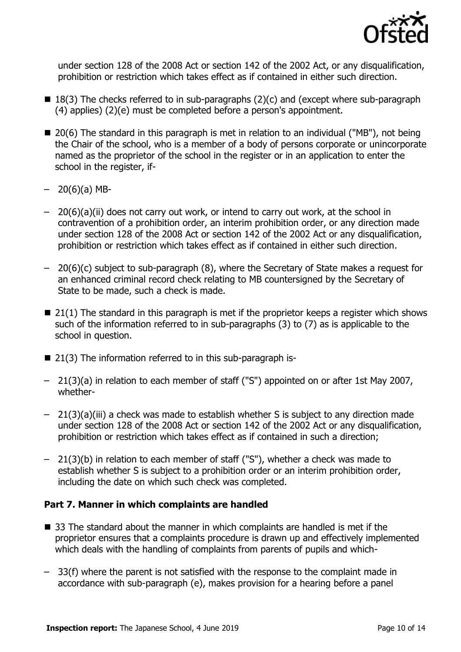

under section 128 of the 2008 Act or section 142 of the 2002 Act, or any disqualification, prohibition or restriction which takes effect as if contained in either such direction.

- $\blacksquare$  18(3) The checks referred to in sub-paragraphs (2)(c) and (except where sub-paragraph (4) applies) (2)(e) must be completed before a person's appointment.
- $\blacksquare$  20(6) The standard in this paragraph is met in relation to an individual ("MB"), not being the Chair of the school, who is a member of a body of persons corporate or unincorporate named as the proprietor of the school in the register or in an application to enter the school in the register, if-
- $-20(6)(a)$  MB-
- 20(6)(a)(ii) does not carry out work, or intend to carry out work, at the school in contravention of a prohibition order, an interim prohibition order, or any direction made under section 128 of the 2008 Act or section 142 of the 2002 Act or any disqualification, prohibition or restriction which takes effect as if contained in either such direction.
- 20(6)(c) subject to sub-paragraph (8), where the Secretary of State makes a request for an enhanced criminal record check relating to MB countersigned by the Secretary of State to be made, such a check is made.
- $\blacksquare$  21(1) The standard in this paragraph is met if the proprietor keeps a register which shows such of the information referred to in sub-paragraphs (3) to (7) as is applicable to the school in question.
- 21(3) The information referred to in this sub-paragraph is-
- 21(3)(a) in relation to each member of staff ("S") appointed on or after 1st May 2007, whether-
- 21(3)(a)(iii) a check was made to establish whether S is subject to any direction made under section 128 of the 2008 Act or section 142 of the 2002 Act or any disqualification, prohibition or restriction which takes effect as if contained in such a direction;
- 21(3)(b) in relation to each member of staff ("S"), whether a check was made to establish whether S is subject to a prohibition order or an interim prohibition order, including the date on which such check was completed.

### **Part 7. Manner in which complaints are handled**

- 33 The standard about the manner in which complaints are handled is met if the proprietor ensures that a complaints procedure is drawn up and effectively implemented which deals with the handling of complaints from parents of pupils and which-
- 33(f) where the parent is not satisfied with the response to the complaint made in accordance with sub-paragraph (e), makes provision for a hearing before a panel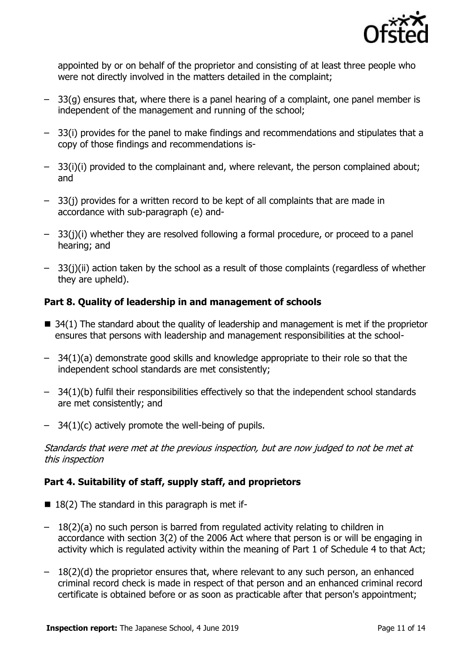

appointed by or on behalf of the proprietor and consisting of at least three people who were not directly involved in the matters detailed in the complaint;

- $-$  33(g) ensures that, where there is a panel hearing of a complaint, one panel member is independent of the management and running of the school;
- 33(i) provides for the panel to make findings and recommendations and stipulates that a copy of those findings and recommendations is-
- 33(i)(i) provided to the complainant and, where relevant, the person complained about; and
- 33(j) provides for a written record to be kept of all complaints that are made in accordance with sub-paragraph (e) and-
- 33(j)(i) whether they are resolved following a formal procedure, or proceed to a panel hearing; and
- 33(j)(ii) action taken by the school as a result of those complaints (regardless of whether they are upheld).

### **Part 8. Quality of leadership in and management of schools**

- $\blacksquare$  34(1) The standard about the quality of leadership and management is met if the proprietor ensures that persons with leadership and management responsibilities at the school-
- 34(1)(a) demonstrate good skills and knowledge appropriate to their role so that the independent school standards are met consistently;
- 34(1)(b) fulfil their responsibilities effectively so that the independent school standards are met consistently; and
- 34(1)(c) actively promote the well-being of pupils.

Standards that were met at the previous inspection, but are now judged to not be met at this inspection

### **Part 4. Suitability of staff, supply staff, and proprietors**

- $\blacksquare$  18(2) The standard in this paragraph is met if-
- 18(2)(a) no such person is barred from regulated activity relating to children in accordance with section 3(2) of the 2006 Act where that person is or will be engaging in activity which is regulated activity within the meaning of Part 1 of Schedule 4 to that Act;
- $-18(2)(d)$  the proprietor ensures that, where relevant to any such person, an enhanced criminal record check is made in respect of that person and an enhanced criminal record certificate is obtained before or as soon as practicable after that person's appointment;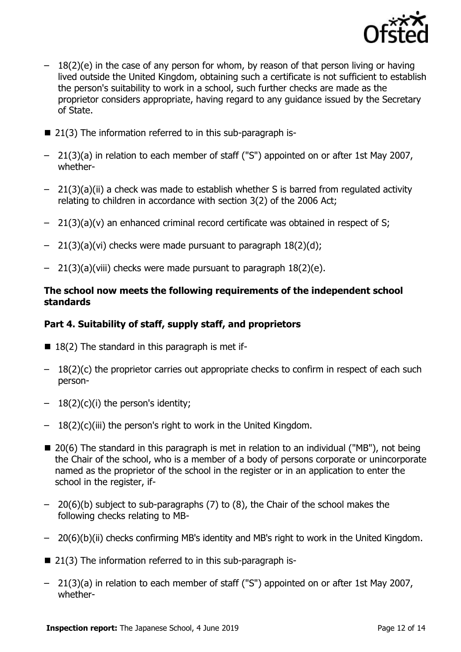

- $-18(2)(e)$  in the case of any person for whom, by reason of that person living or having lived outside the United Kingdom, obtaining such a certificate is not sufficient to establish the person's suitability to work in a school, such further checks are made as the proprietor considers appropriate, having regard to any guidance issued by the Secretary of State.
- 21(3) The information referred to in this sub-paragraph is-
- 21(3)(a) in relation to each member of staff ("S") appointed on or after 1st May 2007, whether-
- 21(3)(a)(ii) a check was made to establish whether S is barred from regulated activity relating to children in accordance with section 3(2) of the 2006 Act;
- 21(3)(a)(v) an enhanced criminal record certificate was obtained in respect of S;
- $-$  21(3)(a)(vi) checks were made pursuant to paragraph  $18(2)(d)$ ;
- 21(3)(a)(viii) checks were made pursuant to paragraph 18(2)(e).

#### **The school now meets the following requirements of the independent school standards**

### **Part 4. Suitability of staff, supply staff, and proprietors**

- $\blacksquare$  18(2) The standard in this paragraph is met if-
- $-18(2)(c)$  the proprietor carries out appropriate checks to confirm in respect of each such person-
- $-18(2)(c)(i)$  the person's identity;
- 18(2)(c)(iii) the person's right to work in the United Kingdom.
- $\blacksquare$  20(6) The standard in this paragraph is met in relation to an individual ("MB"), not being the Chair of the school, who is a member of a body of persons corporate or unincorporate named as the proprietor of the school in the register or in an application to enter the school in the register, if-
- 20(6)(b) subject to sub-paragraphs (7) to (8), the Chair of the school makes the following checks relating to MB-
- 20(6)(b)(ii) checks confirming MB's identity and MB's right to work in the United Kingdom.
- 21(3) The information referred to in this sub-paragraph is-
- 21(3)(a) in relation to each member of staff ("S") appointed on or after 1st May 2007, whether-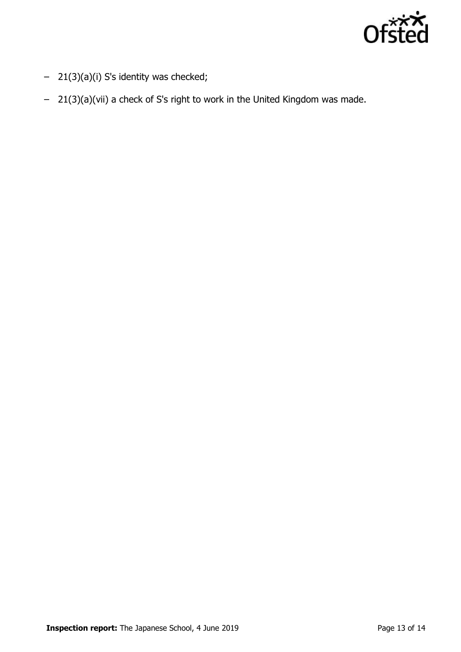

- 21(3)(a)(i) S's identity was checked;
- 21(3)(a)(vii) a check of S's right to work in the United Kingdom was made.